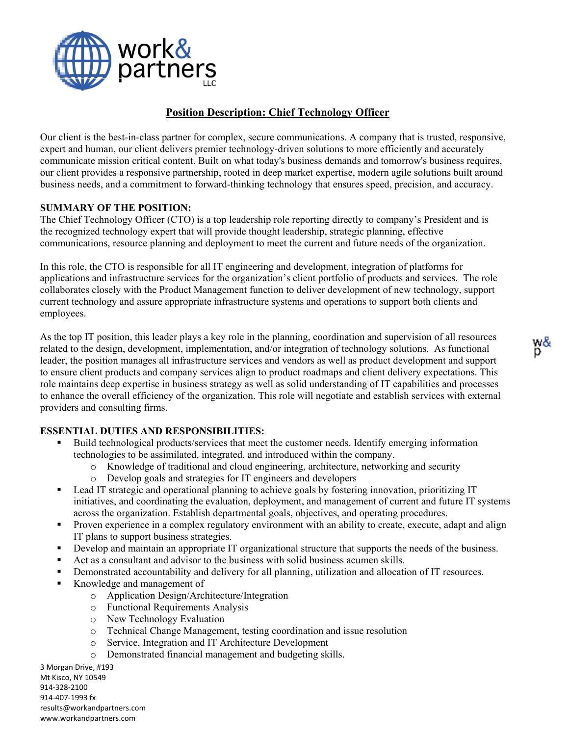

# **Position Description: Chief Technology Officer**

Our client is the best-in-class partner for complex, secure communications. A company that is trusted, responsive, expert and human, our client delivers premier technology-driven solutions to more efficiently and accurately communicate mission critical content. Built on what today's business demands and tomorrow's business requires, our client provides a responsive partnership, rooted in deep market expertise, modern agile solutions built around business needs, and a commitment to forward-thinking technology that ensures speed, precision, and accuracy.

### **SUMMARY OF THE POSITION:**

The Chief Technology Officer (CTO) is a top leadership role reporting directly to company's President and is the recognized technology expert that will provide thought leadership, strategic planning, effective communications, resource planning and deployment to meet the current and future needs of the organization.

In this role, the CTO is responsible for all IT engineering and development, integration of platforms for applications and infrastructure services for the organization's client portfolio of products and services. The role collaborates closely with the Product Management function to deliver development of new technology, support current technology and assure appropriate infrastructure systems and operations to support both clients and employees.

As the top IT position, this leader plays a key role in the planning, coordination and supervision of all resources related to the design, development, implementation, and/or integration of technology solutions. As functional leader, the position manages all infrastructure services and vendors as well as product development and support to ensure client products and company services align to product roadmaps and client delivery expectations. This role maintains deep expertise in business strategy as well as solid understanding of IT capabilities and processes to enhance the overall efficiency of the organization. This role will negotiate and establish services with external providers and consulting firms.

### **ESSENTIAL DUTIES AND RESPONSIBILITIES:**

- Build technological products/services that meet the customer needs. Identify emerging information technologies to be assimilated, integrated, and introduced within the company.
	- o Knowledge of traditional and cloud engineering, architecture, networking and security
	- o Develop goals and strategies for IT engineers and developers
- Lead IT strategic and operational planning to achieve goals by fostering innovation, prioritizing IT initiatives, and coordinating the evaluation, deployment, and management of current and future IT systems across the organization. Establish departmental goals, objectives, and operating procedures.
- **Proven experience in a complex regulatory environment with an ability to create, execute, adapt and align** IT plans to support business strategies.
- Develop and maintain an appropriate IT organizational structure that supports the needs of the business.
- Act as a consultant and advisor to the business with solid business acumen skills.
- Demonstrated accountability and delivery for all planning, utilization and allocation of IT resources.
- Knowledge and management of
	- o Application Design/Architecture/Integration
	- o Functional Requirements Analysis
	- New Technology Evaluation
	- o Technical Change Management, testing coordination and issue resolution
	- o Service, Integration and IT Architecture Development
	- o Demonstrated financial management and budgeting skills.

3 Morgan Drive, #193 Mt Kisco, NY 10549 914-328-2100 914-407-1993 fx [results@workandpartners.com](mailto:results@workandpartners.com) www.workandpartners.com